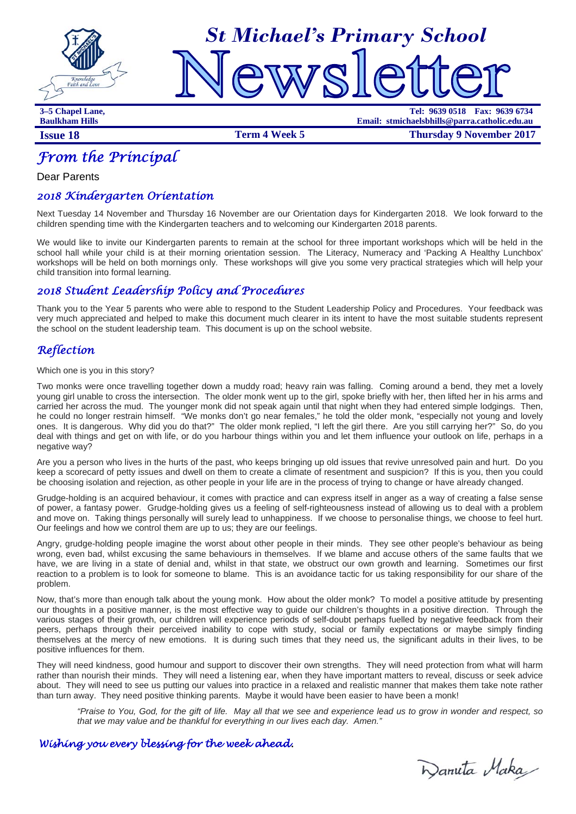



**3–5 Chapel Lane, Tel: 9639 0518 Fax: 9639 6734 Baulkham Hills Email: stmichaelsbhills@parra.catholic.edu.au Issue 18 ISSUE 18 Term 4 Week 5 Thursday 9 November 2017** 

# *From the Principal*

Dear Parents

## *2018 Kindergarten Orientation*

Next Tuesday 14 November and Thursday 16 November are our Orientation days for Kindergarten 2018. We look forward to the children spending time with the Kindergarten teachers and to welcoming our Kindergarten 2018 parents.

We would like to invite our Kindergarten parents to remain at the school for three important workshops which will be held in the school hall while your child is at their morning orientation session. The Literacy, Numeracy and 'Packing A Healthy Lunchbox' workshops will be held on both mornings only. These workshops will give you some very practical strategies which will help your child transition into formal learning.

## *2018 Student Leadership Policy and Procedures*

Thank you to the Year 5 parents who were able to respond to the Student Leadership Policy and Procedures. Your feedback was very much appreciated and helped to make this document much clearer in its intent to have the most suitable students represent the school on the student leadership team. This document is up on the school website.

## *Reflection*

Which one is you in this story?

Two monks were once travelling together down a muddy road; heavy rain was falling. Coming around a bend, they met a lovely young girl unable to cross the intersection. The older monk went up to the girl, spoke briefly with her, then lifted her in his arms and carried her across the mud. The younger monk did not speak again until that night when they had entered simple lodgings. Then, he could no longer restrain himself. "We monks don't go near females," he told the older monk, "especially not young and lovely ones. It is dangerous. Why did you do that?" The older monk replied, "I left the girl there. Are you still carrying her?" So, do you deal with things and get on with life, or do you harbour things within you and let them influence your outlook on life, perhaps in a negative way?

Are you a person who lives in the hurts of the past, who keeps bringing up old issues that revive unresolved pain and hurt. Do you keep a scorecard of petty issues and dwell on them to create a climate of resentment and suspicion? If this is you, then you could be choosing isolation and rejection, as other people in your life are in the process of trying to change or have already changed.

Grudge-holding is an acquired behaviour, it comes with practice and can express itself in anger as a way of creating a false sense of power, a fantasy power. Grudge-holding gives us a feeling of self-righteousness instead of allowing us to deal with a problem and move on. Taking things personally will surely lead to unhappiness. If we choose to personalise things, we choose to feel hurt. Our feelings and how we control them are up to us; they are our feelings.

Angry, grudge-holding people imagine the worst about other people in their minds. They see other people's behaviour as being wrong, even bad, whilst excusing the same behaviours in themselves. If we blame and accuse others of the same faults that we have, we are living in a state of denial and, whilst in that state, we obstruct our own growth and learning. Sometimes our first reaction to a problem is to look for someone to blame. This is an avoidance tactic for us taking responsibility for our share of the problem.

Now, that's more than enough talk about the young monk. How about the older monk? To model a positive attitude by presenting our thoughts in a positive manner, is the most effective way to guide our children's thoughts in a positive direction. Through the various stages of their growth, our children will experience periods of self-doubt perhaps fuelled by negative feedback from their peers, perhaps through their perceived inability to cope with study, social or family expectations or maybe simply finding themselves at the mercy of new emotions. It is during such times that they need us, the significant adults in their lives, to be positive influences for them.

They will need kindness, good humour and support to discover their own strengths. They will need protection from what will harm rather than nourish their minds. They will need a listening ear, when they have important matters to reveal, discuss or seek advice about. They will need to see us putting our values into practice in a relaxed and realistic manner that makes them take note rather than turn away. They need positive thinking parents. Maybe it would have been easier to have been a monk!

*"Praise to You, God, for the gift of life. May all that we see and experience lead us to grow in wonder and respect, so that we may value and be thankful for everything in our lives each day. Amen."* 

## *Wishing you every blessing for the week ahead.*

Danuta Maka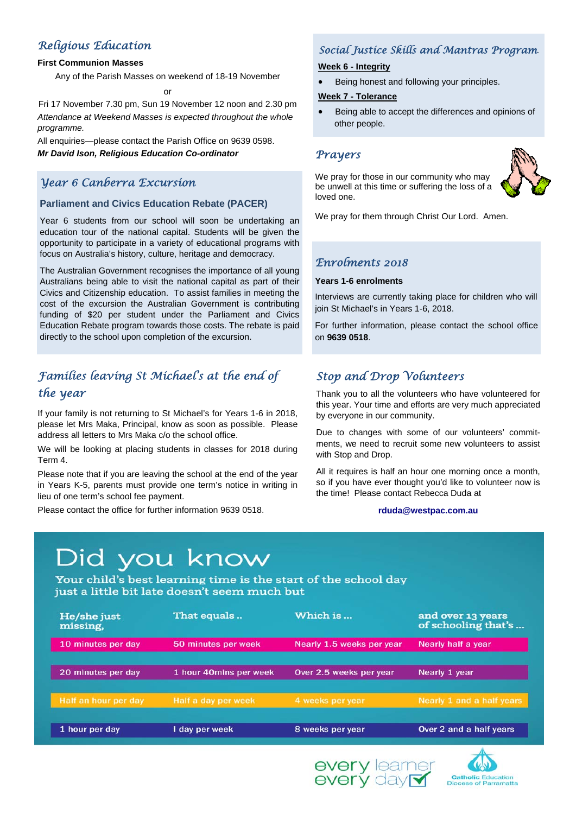# *Religious Education*

#### **First Communion Masses**

Any of the Parish Masses on weekend of 18-19 November

 $\alpha$ 

Fri 17 November 7.30 pm, Sun 19 November 12 noon and 2.30 pm *Attendance at Weekend Masses is expected throughout the whole programme.*

All enquiries—please contact the Parish Office on 9639 0598. *Mr David Ison, Religious Education Co-ordinator*

# *Year 6 Canberra Excursion*

#### **Parliament and Civics Education Rebate (PACER)**

Year 6 students from our school will soon be undertaking an education tour of the national capital. Students will be given the opportunity to participate in a variety of educational programs with focus on Australia's history, culture, heritage and democracy.

The Australian Government recognises the importance of all young Australians being able to visit the national capital as part of their Civics and Citizenship education. To assist families in meeting the cost of the excursion the Australian Government is contributing funding of \$20 per student under the Parliament and Civics Education Rebate program towards those costs. The rebate is paid directly to the school upon completion of the excursion.

# *Families leaving St Michael's at the end of the year*

If your family is not returning to St Michael's for Years 1-6 in 2018, please let Mrs Maka, Principal, know as soon as possible. Please address all letters to Mrs Maka c/o the school office.

We will be looking at placing students in classes for 2018 during Term 4.

Please note that if you are leaving the school at the end of the year in Years K-5, parents must provide one term's notice in writing in lieu of one term's school fee payment.

Please contact the office for further information 9639 0518.

# *Social Justice Skills and Mantras Program.*

#### **Week 6 - Integrity**

• Being honest and following your principles.

#### **Week 7 - Tolerance**

 Being able to accept the differences and opinions of other people.

#### *Prayers*

We pray for those in our community who may be unwell at this time or suffering the loss of a loved one.



We pray for them through Christ Our Lord. Amen.

## *Enrolments 2018*

#### **Years 1-6 enrolments**

Interviews are currently taking place for children who will join St Michael's in Years 1-6, 2018.

For further information, please contact the school office on **9639 0518**.

# *Stop and Drop Volunteers*

Thank you to all the volunteers who have volunteered for this year. Your time and efforts are very much appreciated by everyone in our community.

Due to changes with some of our volunteers' commitments, we need to recruit some new volunteers to assist with Stop and Drop.

All it requires is half an hour one morning once a month, so if you have ever thought you'd like to volunteer now is the time! Please contact Rebecca Duda at

#### **rduda@westpac.com.au**

#### Did you know Your child's best learning time is the start of the school day just a little bit late doesn't seem much but He/she just That equals.. Which is ... and over 13 years of schooling that's ... missing, 10 minutes per day 50 minutes per week Nearly 1.5 weeks per year Nearly half a vear 20 minutes per day 1 hour 40mins per week Over 2.5 weeks per year Nearly 1 year Half a day per week 4 weeks per year Over 2 and a half years 1 hour per day I day per week 8 weeks per year



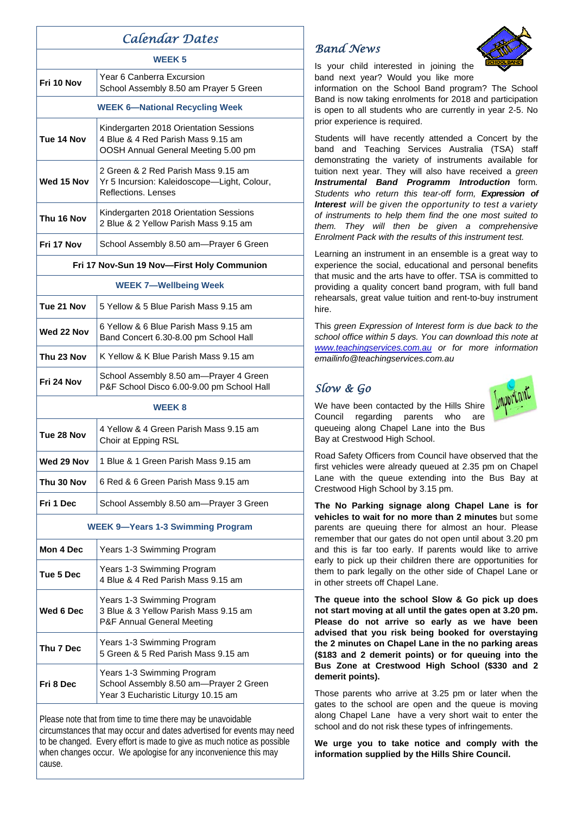| Calendar Dates                             |                                                                                                                     |
|--------------------------------------------|---------------------------------------------------------------------------------------------------------------------|
| <b>WEEK5</b>                               |                                                                                                                     |
| Fri 10 Nov                                 | Year 6 Canberra Excursion<br>School Assembly 8.50 am Prayer 5 Green                                                 |
| <b>WEEK 6-National Recycling Week</b>      |                                                                                                                     |
| Tue 14 Nov                                 | Kindergarten 2018 Orientation Sessions<br>4 Blue & 4 Red Parish Mass 9.15 am<br>OOSH Annual General Meeting 5.00 pm |
| Wed 15 Nov                                 | 2 Green & 2 Red Parish Mass 9.15 am<br>Yr 5 Incursion: Kaleidoscope-Light, Colour,<br>Reflections, Lenses           |
| Thu 16 Nov                                 | Kindergarten 2018 Orientation Sessions<br>2 Blue & 2 Yellow Parish Mass 9.15 am                                     |
| Fri 17 Nov                                 | School Assembly 8.50 am—Prayer 6 Green                                                                              |
| Fri 17 Nov-Sun 19 Nov-First Holy Communion |                                                                                                                     |
| <b>WEEK 7-Wellbeing Week</b>               |                                                                                                                     |
| Tue 21 Nov                                 | 5 Yellow & 5 Blue Parish Mass 9.15 am                                                                               |
| Wed 22 Nov                                 | 6 Yellow & 6 Blue Parish Mass 9.15 am<br>Band Concert 6.30-8.00 pm School Hall                                      |
| Thu 23 Nov                                 | K Yellow & K Blue Parish Mass 9.15 am                                                                               |
| Fri 24 Nov                                 | School Assembly 8.50 am-Prayer 4 Green<br>P&F School Disco 6.00-9.00 pm School Hall                                 |
| <b>WEEK8</b>                               |                                                                                                                     |
| Tue 28 Nov                                 | 4 Yellow & 4 Green Parish Mass 9.15 am<br>Choir at Epping RSL                                                       |
| Wed 29 Nov                                 | 1 Blue & 1 Green Parish Mass 9.15 am                                                                                |
| Thu 30 Nov                                 | 6 Red & 6 Green Parish Mass 9.15 am                                                                                 |
| Fri 1 Dec                                  | School Assembly 8.50 am-Prayer 3 Green                                                                              |
| <b>WEEK 9-Years 1-3 Swimming Program</b>   |                                                                                                                     |
| Mon 4 Dec                                  | Years 1-3 Swimming Program                                                                                          |
| Tue 5 Dec                                  | Years 1-3 Swimming Program<br>4 Blue & 4 Red Parish Mass 9.15 am                                                    |
| Wed 6 Dec                                  | Years 1-3 Swimming Program<br>3 Blue & 3 Yellow Parish Mass 9.15 am<br>P&F Annual General Meeting                   |
| Thu 7 Dec                                  | Years 1-3 Swimming Program<br>5 Green & 5 Red Parish Mass 9.15 am                                                   |
| Fri 8 Dec                                  | Years 1-3 Swimming Program<br>School Assembly 8.50 am-Prayer 2 Green<br>Year 3 Eucharistic Liturgy 10.15 am         |

Please note that from time to time there may be unavoidable circumstances that may occur and dates advertised for events may need to be changed. Every effort is made to give as much notice as possible when changes occur. We apologise for any inconvenience this may cause.

## *Band News*



Is your child interested in joining the band next year? Would you like more

information on the School Band program? The School Band is now taking enrolments for 2018 and participation is open to all students who are currently in year 2-5. No prior experience is required.

Students will have recently attended a Concert by the band and Teaching Services Australia (TSA) staff demonstrating the variety of instruments available for tuition next year. They will also have received a *green Instrumental Band Programm Introduction* form*. Students who return this tear-off form, Expression of Interest will be given the opportunity to test a variety of instruments to help them find the one most suited to them. They will then be given a comprehensive Enrolment Pack with the results of this instrument test.*

Learning an instrument in an ensemble is a great way to experience the social, educational and personal benefits that music and the arts have to offer. TSA is committed to providing a quality concert band program, with full band rehearsals, great value tuition and rent-to-buy instrument hire.

This *green Expression of Interest form is due back to the school office within 5 days. You can download this note at www.teachingservices.com.au or for more information emailinfo@teachingservices.com.au*

## *Slow & Go*



We have been contacted by the Hills Shire Council regarding parents who are queueing along Chapel Lane into the Bus Bay at Crestwood High School.

Road Safety Officers from Council have observed that the first vehicles were already queued at 2.35 pm on Chapel Lane with the queue extending into the Bus Bay at Crestwood High School by 3.15 pm.

**The No Parking signage along Chapel Lane is for vehicles to wait for no more than 2 minutes** but some parents are queuing there for almost an hour. Please remember that our gates do not open until about 3.20 pm and this is far too early. If parents would like to arrive early to pick up their children there are opportunities for them to park legally on the other side of Chapel Lane or in other streets off Chapel Lane.

**The queue into the school Slow & Go pick up does not start moving at all until the gates open at 3.20 pm. Please do not arrive so early as we have been advised that you risk being booked for overstaying the 2 minutes on Chapel Lane in the no parking areas (\$183 and 2 demerit points) or for queuing into the Bus Zone at Crestwood High School (\$330 and 2 demerit points).** 

Those parents who arrive at 3.25 pm or later when the gates to the school are open and the queue is moving along Chapel Lane have a very short wait to enter the school and do not risk these types of infringements.

**We urge you to take notice and comply with the information supplied by the Hills Shire Council.**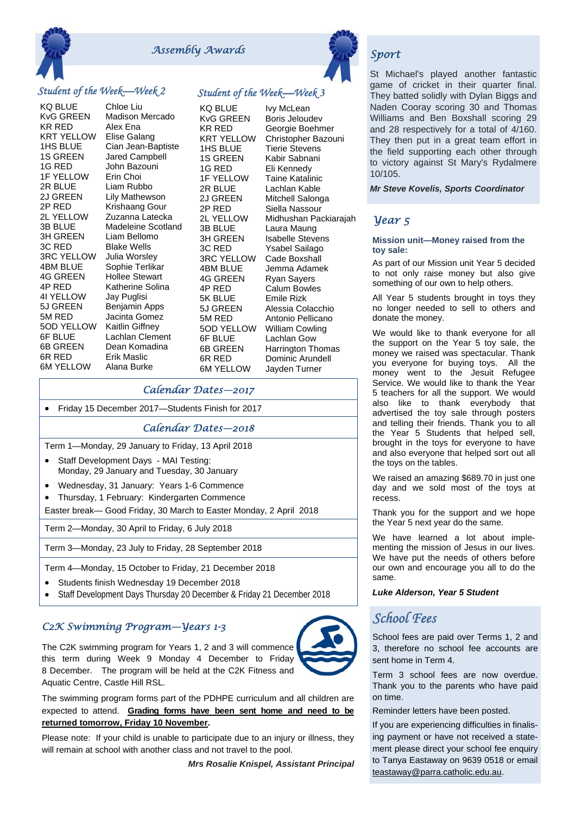

# *Assembly Awards* Sport **Sport**

### *Student of the Week—Week 2*

KQ BLUE Chloe Liu KvG GREEN Madison Mercado KR RED Alex Ena<br>KRT YELLOW Flise Gala 1HS BLUE Cian Jean-Baptiste 1S GREEN Jared Campbell 1G RED John Bazouni 1F YELLOW Erin Choi 2R BLUE Liam Rubbo 2J GREEN Lily Mathewson 2P RED Krishaang Gour 2L YELLOW Zuzanna Latecka 3B BLUE Madeleine Scotland<br>3H GREEN Liam Bellomo 3C RED Blake Wells 3RC YELLOW Julia Worsley 4BM BLUE Sophie Terlikar 4G GREEN Hollee Stewart 4P RED Katherine Solina<br>4I YELLOW Jav Puglisi 4I YELLOW Jay Puglisi<br>5J GREEN Beniamin A 5M RED Jacinta Gomez 5OD YELLOW Kaitlin Giffney 6F BLUE Lachlan Clement 6B GREEN Dean Komadina 6R RED Erik Maslic 6M YELLOW Alana Burke

Elise Galang Liam Bellomo Benjamin Apps

## *Student of the Week—Week 3*

KQ BLUE Ivy McLean KvG GREEN Boris Jeloudev KR RED Georgie Boehmer KRT YELLOW Christopher Bazouni 1HS BLUE Tierie Stevens 1S GREEN Kabir Sabnani 1G RED Eli Kennedy 1F YELLOW Taine Katalinic 2R BLUE Lachlan Kable 2J GREEN Mitchell Salonga 2P RED Siella Nassour 2L YELLOW Midhushan Packiarajah<br>3B BLUE Laura Maung Laura Maung 3H GREEN Isabelle Stevens 3C RED Ysabel Sailago<br>3RC YELLOW Cade Boxshall 3RC YELLOW 4BM BLUE Jemma Adamek 4G GREEN Ryan Sayers 4P RED Calum Bowles 5K BLUE Emile Rizk 5J GREEN Alessia Colacchio 5M RED Antonio Pellicano 5OD YELLOW William Cowling 6F BLUE Lachlan Gow 6B GREEN Harrington Thomas 6R RED Dominic Arundell 6M YELLOW Jayden Turner

#### *Calendar Dates—2017*

Friday 15 December 2017—Students Finish for 2017

#### *Calendar Dates—2018*

Term 1—Monday, 29 January to Friday, 13 April 2018

- Staff Development Days MAI Testing: Monday, 29 January and Tuesday, 30 January
- Wednesday, 31 January: Years 1-6 Commence
- Thursday, 1 February: Kindergarten Commence

Easter break— Good Friday, 30 March to Easter Monday, 2 April 2018

Term 2—Monday, 30 April to Friday, 6 July 2018

Term 3—Monday, 23 July to Friday, 28 September 2018

Term 4—Monday, 15 October to Friday, 21 December 2018

- Students finish Wednesday 19 December 2018
- Staff Development Days Thursday 20 December & Friday 21 December 2018

## *C2K Swimming Program—Years 1-3*

The C2K swimming program for Years 1, 2 and 3 will commence this term during Week 9 Monday 4 December to Friday 8 December. The program will be held at the C2K Fitness and Aquatic Centre, Castle Hill RSL.



Please note: If your child is unable to participate due to an injury or illness, they will remain at school with another class and not travel to the pool.

*Mrs Rosalie Knispel, Assistant Principal*



St Michael's played another fantastic game of cricket in their quarter final. They batted solidly with Dylan Biggs and Naden Cooray scoring 30 and Thomas Williams and Ben Boxshall scoring 29 and 28 respectively for a total of 4/160. They then put in a great team effort in the field supporting each other through to victory against St Mary's Rydalmere 10/105.

*Mr Steve Kovelis, Sports Coordinator*

### *Year 5*

#### **Mission unit—Money raised from the toy sale:**

As part of our Mission unit Year 5 decided to not only raise money but also give something of our own to help others.

All Year 5 students brought in toys they no longer needed to sell to others and donate the money.

We would like to thank everyone for all the support on the Year 5 toy sale, the money we raised was spectacular. Thank you everyone for buying toys. All the money went to the Jesuit Refugee Service. We would like to thank the Year 5 teachers for all the support. We would also like to thank everybody that advertised the toy sale through posters and telling their friends. Thank you to all the Year 5 Students that helped sell, brought in the toys for everyone to have and also everyone that helped sort out all the toys on the tables.

We raised an amazing \$689.70 in just one day and we sold most of the toys at recess.

Thank you for the support and we hope the Year 5 next year do the same.

We have learned a lot about implementing the mission of Jesus in our lives. We have put the needs of others before our own and encourage you all to do the same.

*Luke Alderson, Year 5 Student*

# *School Fees*

School fees are paid over Terms 1, 2 and 3, therefore no school fee accounts are sent home in Term 4.

Term 3 school fees are now overdue. Thank you to the parents who have paid on time.

Reminder letters have been posted.

If you are experiencing difficulties in finalising payment or have not received a statement please direct your school fee enquiry to Tanya Eastaway on 9639 0518 or email teastaway@parra.catholic.edu.au.

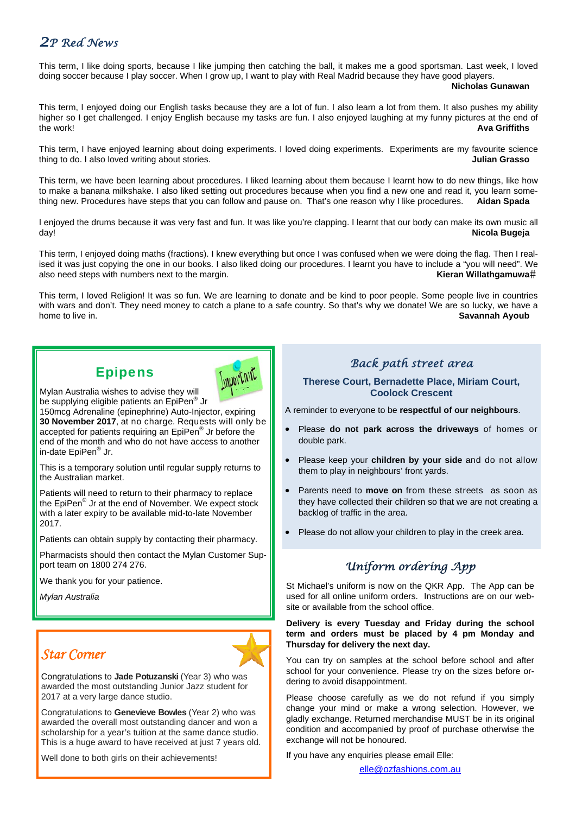# *2P Red News*

This term, I like doing sports, because I like jumping then catching the ball, it makes me a good sportsman. Last week, I loved doing soccer because I play soccer. When I grow up, I want to play with Real Madrid because they have good players.

**Nicholas Gunawan** 

This term, I enjoyed doing our English tasks because they are a lot of fun. I also learn a lot from them. It also pushes my ability higher so I get challenged. I enjoy English because my tasks are fun. I also enjoyed laughing at my funny pictures at the end of the work! **Ava Griffiths** 

This term, I have enjoyed learning about doing experiments. I loved doing experiments. Experiments are my favourite science thing to do. I also loved writing about stories. **Julian Grasso** 

This term, we have been learning about procedures. I liked learning about them because I learnt how to do new things, like how to make a banana milkshake. I also liked setting out procedures because when you find a new one and read it, you learn something new. Procedures have steps that you can follow and pause on. That's one reason why I like procedures. **Aidan Spada** 

I enjoyed the drums because it was very fast and fun. It was like you're clapping. I learnt that our body can make its own music all day! **Nicola Bugeja**

This term, I enjoyed doing maths (fractions). I knew everything but once I was confused when we were doing the flag. Then I realised it was just copying the one in our books. I also liked doing our procedures. I learnt you have to include a "you will need". We also need steps with numbers next to the margin. **Kieran Willathgamuwa**<sup>#</sup> **Kieran Willathgamuwa**<sup>\*</sup>

This term, I loved Religion! It was so fun. We are learning to donate and be kind to poor people. Some people live in countries with wars and don't. They need money to catch a plane to a safe country. So that's why we donate! We are so lucky, we have a home to live in. **Savannah Ayoub** 

# Epipens



Mylan Australia wishes to advise they will be supplying eligible patients an EpiPen<sup>®</sup> Jr

150mcg Adrenaline (epinephrine) Auto-Injector, expiring **30 November 2017**, at no charge. Requests will only be accepted for patients requiring an EpiPen® Jr before the end of the month and who do not have access to another in-date EpiPen® Jr.

This is a temporary solution until regular supply returns to the Australian market.

Patients will need to return to their pharmacy to replace the EpiPen® Jr at the end of November. We expect stock with a later expiry to be available mid-to-late November 2017.

Patients can obtain supply by contacting their pharmacy.

Pharmacists should then contact the Mylan Customer Support team on 1800 274 276.

We thank you for your patience.

*Mylan Australia* 

# *Star Corner*

Congratulations to **Jade Potuzanski** (Year 3) who was awarded the most outstanding Junior Jazz student for 2017 at a very large dance studio.

Congratulations to **Genevieve Bowles** (Year 2) who was awarded the overall most outstanding dancer and won a scholarship for a year's tuition at the same dance studio. This is a huge award to have received at just 7 years old.

Well done to both girls on their achievements!

## *Back path street area*

#### **Therese Court, Bernadette Place, Miriam Court, Coolock Crescent**

A reminder to everyone to be **respectful of our neighbours**.

- Please **do not park across the driveways** of homes or double park.
- Please keep your **children by your side** and do not allow them to play in neighbours' front yards.
- Parents need to **move on** from these streets as soon as they have collected their children so that we are not creating a backlog of traffic in the area.
- Please do not allow your children to play in the creek area.

# *Uniform ordering App*

St Michael's uniform is now on the QKR App. The App can be used for all online uniform orders. Instructions are on our website or available from the school office.

**Delivery is every Tuesday and Friday during the school term and orders must be placed by 4 pm Monday and Thursday for delivery the next day.**

You can try on samples at the school before school and after school for your convenience. Please try on the sizes before ordering to avoid disappointment.

Please choose carefully as we do not refund if you simply change your mind or make a wrong selection. However, we gladly exchange. Returned merchandise MUST be in its original condition and accompanied by proof of purchase otherwise the exchange will not be honoured.

If you have any enquiries please email Elle:

elle@ozfashions.com.au